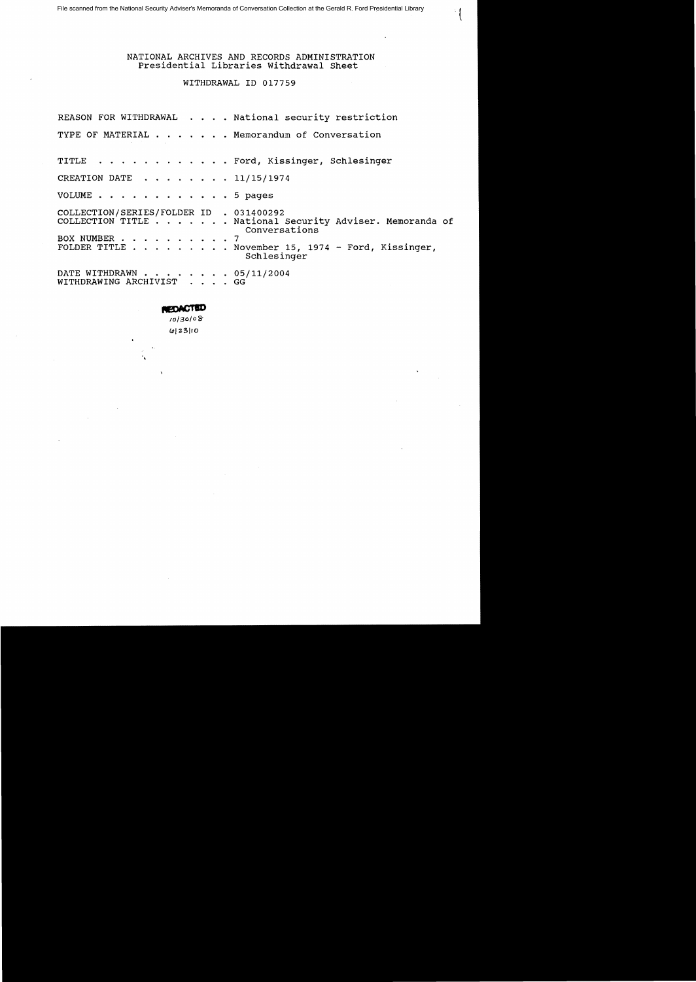## NATIONAL ARCHIVES AND RECORDS ADMINISTRATION Presidential Libraries withdrawal Sheet

 $\left($ 

## WITHDRAWAL ID 017759

| REASON FOR WITHDRAWAL National security restriction                                                                                                                                                      |
|----------------------------------------------------------------------------------------------------------------------------------------------------------------------------------------------------------|
| TYPE OF MATERIAL Memorandum of Conversation<br>the control of the control of the                                                                                                                         |
| TITLE Ford, Kissinger, Schlesinger                                                                                                                                                                       |
| CREATION DATE 11/15/1974                                                                                                                                                                                 |
| VOLUME 5 pages                                                                                                                                                                                           |
| COLLECTION/SERIES/FOLDER ID . 031400292<br>COLLECTION TITLE National Security Adviser. Memoranda of<br>Conversations<br>BOX NUMBER 7<br>FOLDER TITLE November 15, 1974 - Ford, Kissinger,<br>Schlesinger |
| DATE WITHDRAWN 05/11/2004<br>WITHDRAWING ARCHIVIST GG                                                                                                                                                    |

#### *SHEYDACTED*

/o/30/0S  $6|23|10$ 

Ä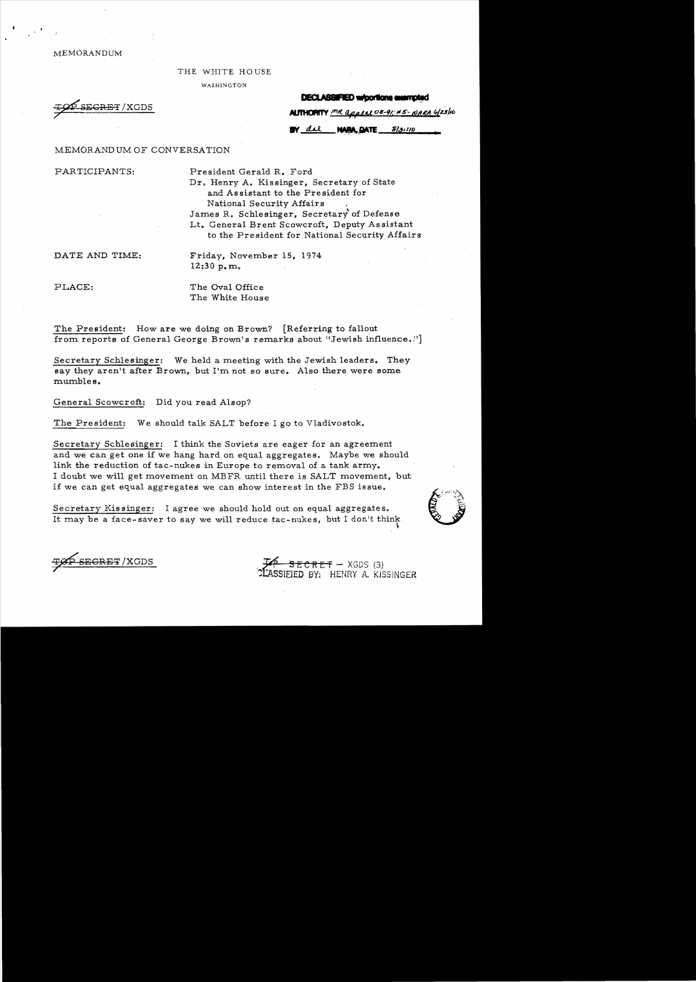MEMORANDUM

#### THE WHITE HO USE

WASHINGTON

#### **DECLASSIFIED w/portions exernot**

~~EG!lBT !XGDS M.mtC.:IArrv *1111( 4ff 1M* Otl-~I.· *liS- tfMbI "tis/IO* 

**BY** die NARA DATE S/31/10

## MEMORAND UM OF CONVERSATION

PARTICIPANTS: President Gerald R. Ford Dr. Henry A. Kissinger, Secretary of State and Assistant to the President for National Security Affairs , James R. Schlesinger, Secretary" of Defense Lt. General Brent Scowcroft, Deputy Assistant

to the President for National Security Affairs

DATE AND TIME: Friday, November 15, 1974 12:30 p. m.

PLACE: The Oval Office The White House

The President: How are we doing on Brown? [Referring to fallout from reports of General George Brown's remarks about "Jewish influence.  $|1\rangle$ 

Secretary Schlesinger: We held a meeting with the Jewish leaders. They say they aren't after Brown, but I'm not so sure. Also there were some mumbles.

General Scowcroft: Did you read Alsop?

The President: We should talk SALT before I go to Vladivostok.

Secretary Schlesinger: I think the Soviets are eager for an agreement and we can get one if we hang hard on equal aggregates. Maybe we should link the reduction of tac-nukes in Europe to removal of a tank army\_ I doubt we will get movement on MBFR until there is SALT movement, but if we can get equal aggregates we can show interest in the FBS issue.

Secretary Kis singer: I agree we should hold out on equal aggregates. It may be a face-saver to say we will reduce tac-nukes, but I don't think



~SEGRE'l' /XGDS ~ SEC REf - XGDS (3)

TLASSIEIED BY: HENRY A. KISSINGER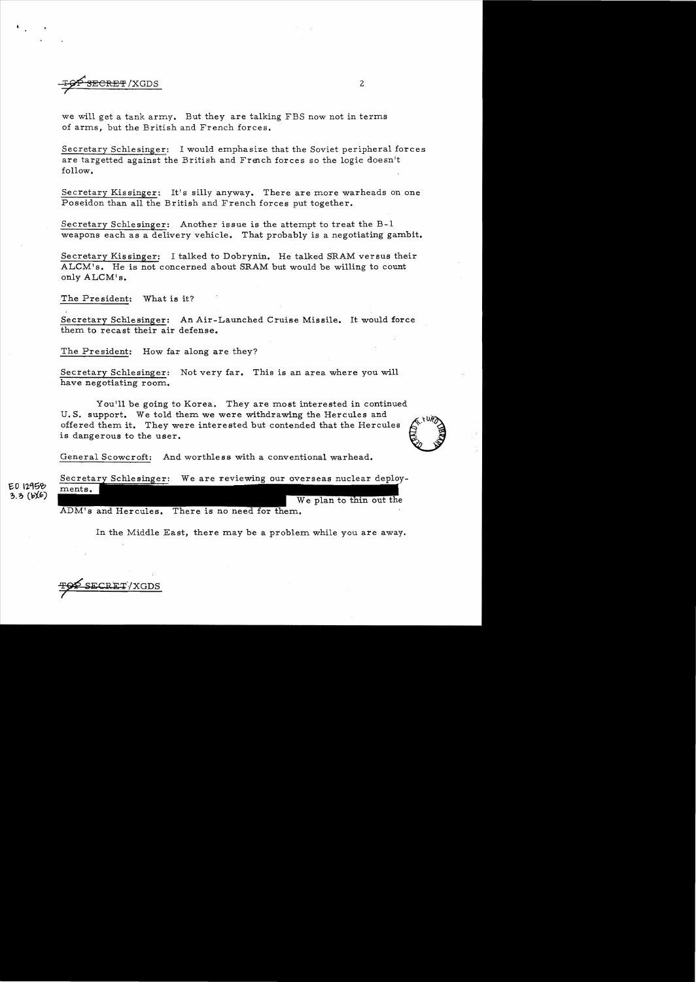

we will get a tank army. But they are talking FBS now not in terms of arms. but the British and French forces.

Secretary Schlesinger: I would emphasize that the Soviet peripheral forces are targetted against the British and French forces so the logic doesn't follow.

Secretary Kissinger: It's silly anyway. There are more warheads on one Poseidon than all the British and French forces put together.

Secretary Schlesinger: Another issue is the attempt to treat the B-1 weapons each as a delivery vehicle. That probably is a negotiating gambit.

Secretary Kissinger: I talked to Dobrynin. He talked SRAM versus their ALCM's. He is not concerned about SRAM but would be willing to count only ALCM' **s.** 

The President: What is it?

Secretary Schlesinger: An Air-Launched Cruise Missile. It would force them to recast their air defense.

The President: How far along are they?

Secretary Schlesinger: Not very far. This is an area where you will have negotiating room.

You'll be going to Korea. They are most interested in continued U.S. support. We told them we were withdrawing the Hercules and offered them it. They were interested but contended that the Hercules \_ is dangerous to the user.



General Scowcroft: And worthless with a conventional warhead.

Secretary Schlesinger: We are reviewing our overseas nuclear deployments.

**ED 12958**  $3.3$  (b)(b)

We plan to thin out the

ADM's and Hercules. There is no need for them.

In the Middle East, there may be a problem while you are away.

CRET/XGDS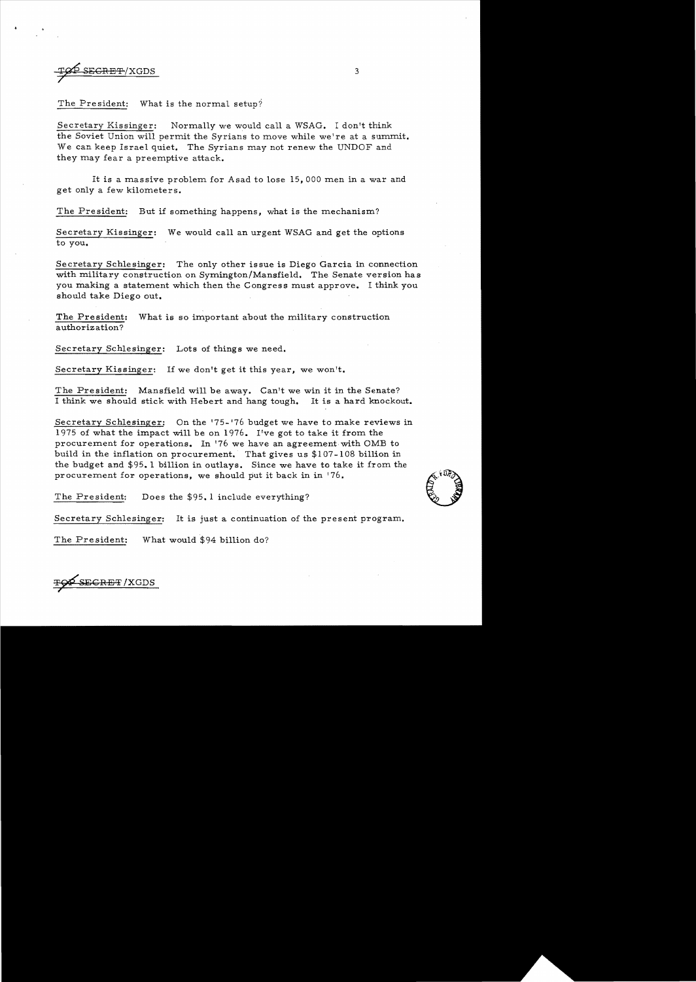

The President: What is the normal setup?

Secretary Kissinger: Normally we would call a WSAG. I don't think the Soviet Union will permit the Syrians to move while we're at a summit. We can keep Israel quiet. The Syrians may not renew the UNDOF and they may fear a preemptive attack.

It is a massive problem for Asad to lose 15,000 men in a war and get only a few kilometers.

The President: But if something happens, what is the mechanism?

Secretary Kissinger: We would call an urgent WSAG and get the options to you.

Secretary Schlesinger: The only other issue is Diego Garcia in connection with military construction on Symington/Mansfield. The Senate version has you making a statement which then the Congress must approve. I think you should take Diego out.

The President: What is so important about the military construction authorization?

Secretary Schlesinger: Lots of things we need.

Secretary Kissinger: If we don't get it this year, we won't.

The President: Mansfield will be away. Can't we win it in the Senate? I think we should stick with Hebert and hang tough. It is a hard knockout.

Secretary Schlesinger: On the '75-'76 budget we have to make reviews in 1975 of what the impact will be on 1976. I've got to take it from the procurement for operations. In '76 we have an agreement with OMB to build in the inflation on procurement. That gives us \$107 -108 billion in the budget and \$95. 1 billion in outlays. Since we have to take it from the procurement for operations, we should put it back in in '76. e to take it from the



The President: Does the \$95. 1 include everything?

Secretary Schlesinger: It is just a continuation of the present program.

The President: What would \$94 billion do?

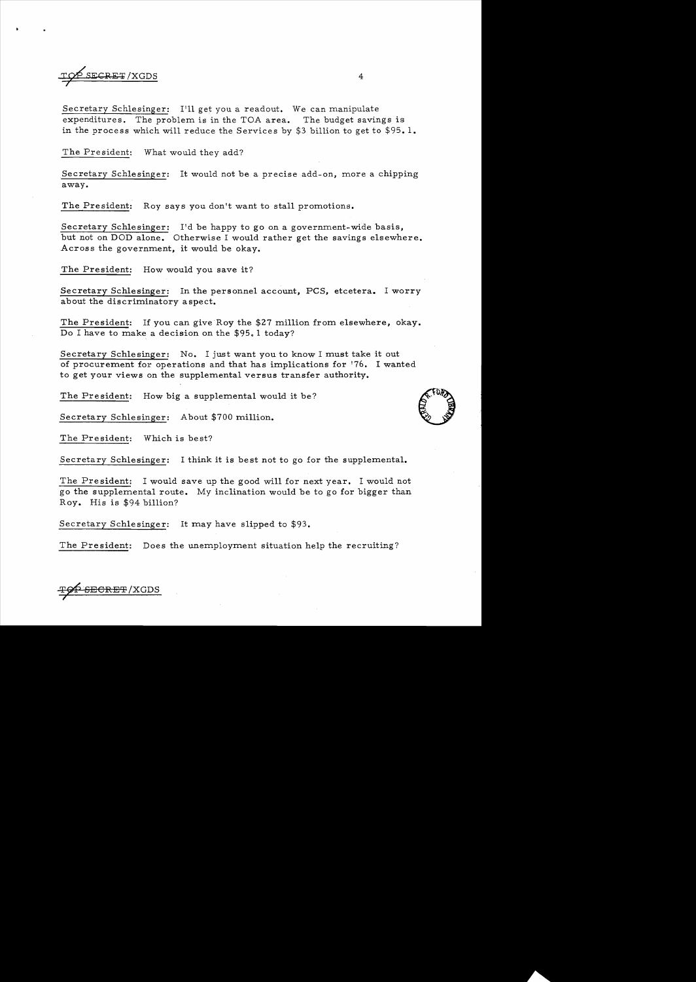# $SECREF/XGDS$  4 **/**

Secretary Schlesinger: I'll get you a readout. We can manipulate expenditures. The problem is in the TOA area. The budget savings is in the process which will reduce the Services by \$3 billion to get to \$95. **1.** 

The President: What would they add?

Secretary Schlesinger: It would not be a precise add-on, more a chipping away.

The President: Roy says you don't want to stall promotions.

Secretary Schlesinger: lid be happy to go on a government-wide basis, but not on DOD alone. Otherwise I would rather get the savings elsewhere. Across the government, it would be okay.

The President: How would you save it?

Secretary Schlesinger: In the personnel account, PCS, etcetera. I worry about the discriminatory aspect.

The President: If you can give Roy the \$27 million from elsewhere, okay. Do I have to make a decision on the \$95. 1 today?

Secretary Schlesinger: No. I just want you to know I must take it out of procurement for operations and that has implications for '76. I wanted to get your views on the supplemental versus transfer authority.

The President: How big a supplemental would it be? The President: How big a supplemental would it be?<br>Secretary Schlesinger: About \$700 million.

The President: Which is best?

Secretary Schlesinger: I think it is best not to go for the supplemental.

The President: I would save up the good will for next year. I would not go the supplemental route. My inclination would be to go for bigger than Roy. His is \$94 billion?

Secretary Schlesinger: It may have slipped to \$93.

The President: Does the unemployment situation help the recruiting?



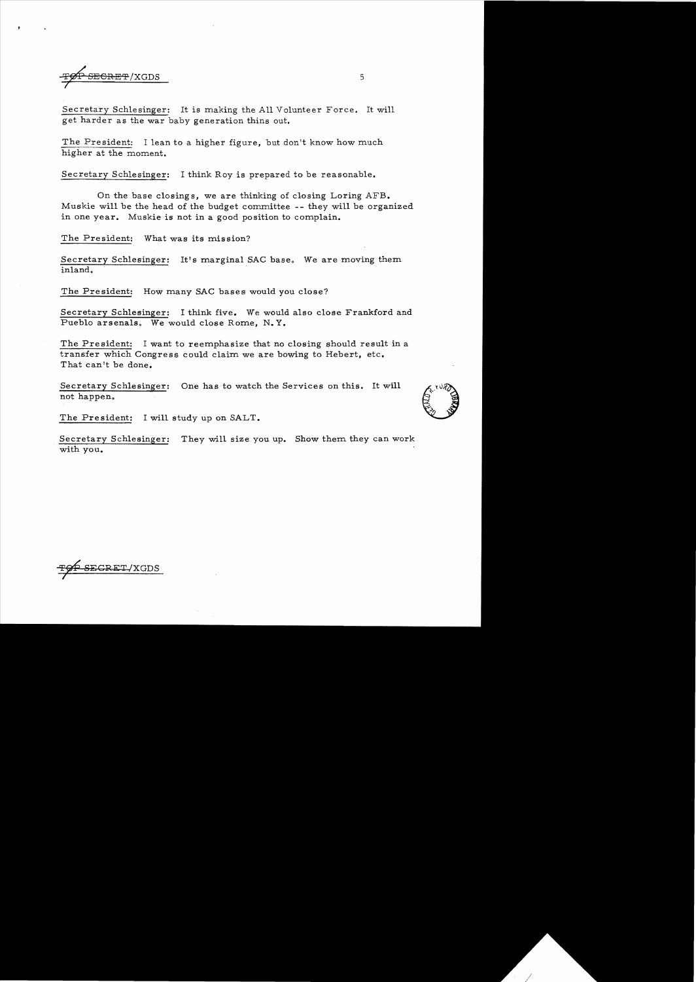interest to the second state of the second state of the second state  $\sim$  5

Secretary Schlesinger: It is making the All Volunteer Force. It will get harder as the war baby generation thins out.

The President: I lean to a higher figure, but don't know how much higher at the moment.

Secretary Schlesinger: I think Roy is prepared to be reasonable.

On the base closings, we are thinking of closing Loring AFB. Muskie will be the head of the budget committee -- they will be organized in one year. Muskie is not in a good position to complain.

The President: What was its mission?

Secretary Schlesinger: It's marginal SAC base. We are moving them inland.

The President: How many SAC bases would you close?

Secretary Schlesinger: I think five. We would also close Frankford and Pueblo arsenals. We would close Rome, N. Y.

The President: I want to reemphasize that no closing should result in a transfer which Congress could claim we are bowing to Hebert, etc. That can't be done.

Secretary Schlesinger: One has to watch the Services on this. It will not happen.



The President: I will study up on SALT.

Secretary Schlesinger: They will size you up. Show them they can work with you.

GRET / XGDS